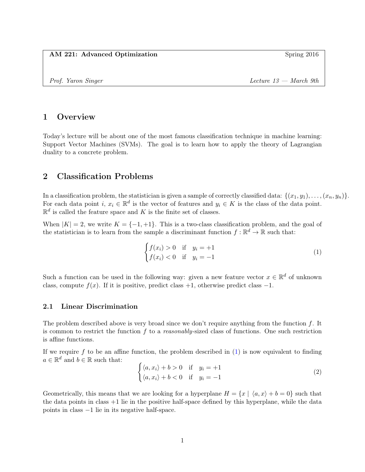## AM 221: Advanced Optimization Spring 2016

Prof. Yaron Singer Lecture 13 — March 9th

# 1 Overview

Today's lecture will be about one of the most famous classification technique in machine learning: Support Vector Machines (SVMs). The goal is to learn how to apply the theory of Lagrangian duality to a concrete problem.

# 2 Classification Problems

In a classification problem, the statistician is given a sample of correctly classified data:  $\{(x_1, y_1), \ldots, (x_n, y_n)\}.$ For each data point  $i, x_i \in \mathbb{R}^d$  is the vector of features and  $y_i \in K$  is the class of the data point.  $\mathbb{R}^d$  is called the feature space and K is the finite set of classes.

When  $|K| = 2$ , we write  $K = \{-1, +1\}$ . This is a two-class classification problem, and the goal of the statistician is to learn from the sample a discriminant function  $f : \mathbb{R}^d \to \mathbb{R}$  such that:

<span id="page-0-0"></span>
$$
\begin{cases} f(x_i) > 0 & \text{if } y_i = +1 \\ f(x_i) < 0 & \text{if } y_i = -1 \end{cases}
$$
 (1)

Such a function can be used in the following way: given a new feature vector  $x \in \mathbb{R}^d$  of unknown class, compute  $f(x)$ . If it is positive, predict class +1, otherwise predict class -1.

## 2.1 Linear Discrimination

The problem described above is very broad since we don't require anything from the function  $f$ . It is common to restrict the function  $f$  to a *reasonably*-sized class of functions. One such restriction is affine functions.

If we require f to be an affine function, the problem described in  $(1)$  is now equivalent to finding  $a \in \mathbb{R}^d$  and  $b \in \mathbb{R}$  such that:

<span id="page-0-1"></span>
$$
\begin{cases} \langle a, x_i \rangle + b > 0 & \text{if } y_i = +1 \\ \langle a, x_i \rangle + b < 0 & \text{if } y_i = -1 \end{cases}
$$
 (2)

Geometrically, this means that we are looking for a hyperplane  $H = \{x \mid \langle a, x \rangle + b = 0\}$  such that the data points in class  $+1$  lie in the positive half-space defined by this hyperplane, while the data points in class −1 lie in its negative half-space.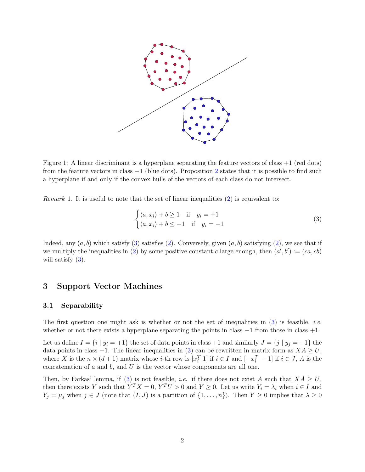

Figure 1: A linear discriminant is a hyperplane separating the feature vectors of class +1 (red dots) from the feature vectors in class  $-1$  (blue dots). Proposition [2](#page-2-0) states that it is possible to find such a hyperplane if and only if the convex hulls of the vectors of each class do not intersect.

*Remark* 1. It is useful to note that the set of linear inequalities  $(2)$  is equivalent to:

<span id="page-1-0"></span>
$$
\begin{cases} \langle a, x_i \rangle + b \ge 1 & \text{if } y_i = +1 \\ \langle a, x_i \rangle + b \le -1 & \text{if } y_i = -1 \end{cases}
$$
 (3)

Indeed, any  $(a, b)$  which satisfy [\(3\)](#page-1-0) satisfies [\(2\)](#page-0-1). Conversely, given  $(a, b)$  satisfying (2), we see that if we multiply the inequalities in [\(2\)](#page-0-1) by some positive constant c large enough, then  $(a', b') := (ca, cb)$ will satisfy  $(3)$ .

# 3 Support Vector Machines

#### 3.1 Separability

The first question one might ask is whether or not the set of inequalities in  $(3)$  is feasible, *i.e.* whether or not there exists a hyperplane separating the points in class  $-1$  from those in class  $+1$ .

Let us define  $I = \{i \mid y_i = +1\}$  the set of data points in class +1 and similarly  $J = \{j \mid y_j = -1\}$  the data points in class -1. The linear inequalities in [\(3\)](#page-1-0) can be rewritten in matrix form as  $XA \geq U$ , where X is the  $n \times (d+1)$  matrix whose *i*-th row is  $[x_i^T 1]$  if  $i \in I$  and  $[-x_i^T - 1]$  if  $i \in J$ , A is the concatenation of  $a$  and  $b$ , and  $U$  is the vector whose components are all one.

Then, by Farkas' lemma, if [\(3\)](#page-1-0) is not feasible, *i.e.* if there does not exist A such that  $XA \geq U$ , then there exists Y such that  $Y^T X = 0$ ,  $Y^T U > 0$  and  $Y \ge 0$ . Let us write  $Y_i = \lambda_i$  when  $i \in I$  and  $Y_j = \mu_j$  when  $j \in J$  (note that  $(I, J)$  is a partition of  $\{1, \ldots, n\}$ ). Then  $Y \ge 0$  implies that  $\lambda \ge 0$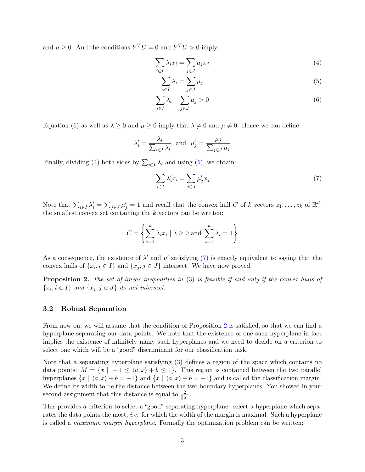and  $\mu \geq 0$ . And the conditions  $Y^T U = 0$  and  $Y^T U > 0$  imply:

$$
\sum_{i \in I} \lambda_i x_i = \sum_{j \in J} \mu_j x_j \tag{4}
$$

<span id="page-2-3"></span><span id="page-2-2"></span><span id="page-2-1"></span>
$$
\sum_{i \in I} \lambda_i = \sum_{j \in J} \mu_j \tag{5}
$$

$$
\sum_{i \in I} \lambda_i + \sum_{j \in J} \mu_j > 0 \tag{6}
$$

Equation [\(6\)](#page-2-1) as well as  $\lambda \geq 0$  and  $\mu \geq 0$  imply that  $\lambda \neq 0$  and  $\mu \neq 0$ . Hence we can define:

$$
\lambda'_i = \frac{\lambda_i}{\sum_{i \in I} \lambda_i} \text{ and } \mu'_j = \frac{\mu_j}{\sum_{j \in J} \mu_j}
$$

Finally, dividing [\(4\)](#page-2-2) both sides by  $\sum_{i \in I} \lambda_i$  and using [\(5\)](#page-2-3), we obtain:

<span id="page-2-4"></span>
$$
\sum_{i \in I} \lambda'_i x_i = \sum_{j \in J} \mu'_j x_j \tag{7}
$$

Note that  $\sum_{i\in I}\lambda'_i=\sum_{j\in J}\mu'_j=1$  and recall that the convex hull C of k vectors  $z_1,\ldots,z_k$  of  $\mathbb{R}^d$ , the smallest convex set containing the  $k$  vectors can be written:

$$
C = \left\{ \sum_{i=1}^{k} \lambda_i x_i \mid \lambda \ge 0 \text{ and } \sum_{i=1}^{k} \lambda_i = 1 \right\}
$$

As a consequence, the existence of  $\lambda'$  and  $\mu'$  satisfying [\(7\)](#page-2-4) is exactly equivalent to saying that the convex hulls of  $\{x_i, i \in I\}$  and  $\{x_j, j \in J\}$  intersect. We have now proved:

<span id="page-2-0"></span>Proposition 2. The set of linear inequalities in [\(3\)](#page-1-0) is feasible if and only if the convex hulls of  $\{x_i, i \in I\}$  and  $\{x_j, j \in J\}$  do not intersect.

### 3.2 Robust Separation

From now on, we will assume that the condition of Proposition [2](#page-2-0) is satisfied, so that we can find a hyperplane separating our data points. We note that the existence of one such hyperplane in fact implies the existence of infinitely many such hyperplanes and we need to decide on a criterion to select one which will be a "good" discriminant for our classification task.

Note that a separating hyperplane satisfying [\(3\)](#page-1-0) defines a region of the space which contains no data points:  $M = \{x \mid -1 \le \langle a, x \rangle + b \le 1\}.$  This region is contained between the two parallel hyperplanes  $\{x \mid \langle a, x \rangle + b = -1\}$  and  $\{x \mid \langle a, x \rangle + b = +1\}$  and is called the classification margin. We define its width to be the distance between the two boundary hyperplanes. You showed in your second assignment that this distance is equal to  $\frac{2}{\|a\|}$ .

This provides a criterion to select a "good" separating hyperplane: select a hyperplane which separates the data points the most, *i.e.* for which the width of the margin is maximal. Such a hyperplane is called a maximum margin hyperplane. Formally the optimization problem can be written: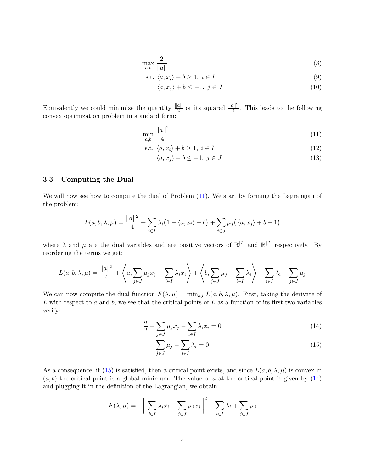$$
\max_{a,b} \frac{2}{\|a\|} \tag{8}
$$

$$
\text{s.t. } \langle a, x_i \rangle + b \ge 1, \ i \in I \tag{9}
$$

<span id="page-3-3"></span>
$$
\langle a, x_j \rangle + b \le -1, \ j \in J \tag{10}
$$

Equivalently we could minimize the quantity  $\frac{\|a\|}{2}$  or its squared  $\frac{\|a\|^2}{4}$  $\frac{u_{\parallel}^2}{4}$ . This leads to the following convex optimization problem in standard form:

$$
\min_{a,b} \frac{\|a\|^2}{4} \tag{11}
$$

$$
s.t. \langle a, x_i \rangle + b \ge 1, \ i \in I \tag{12}
$$

<span id="page-3-0"></span>
$$
\langle a, x_j \rangle + b \le -1, \ j \in J \tag{13}
$$

#### 3.3 Computing the Dual

We will now see how to compute the dual of Problem [\(11\)](#page-3-0). We start by forming the Lagrangian of the problem:

$$
L(a, b, \lambda, \mu) = \frac{\|a\|^2}{4} + \sum_{i \in I} \lambda_i (1 - \langle a, x_i \rangle - b) + \sum_{j \in J} \mu_j (\langle a, x_j \rangle + b + 1)
$$

where  $\lambda$  and  $\mu$  are the dual variables and are positive vectors of  $\mathbb{R}^{|I|}$  and  $\mathbb{R}^{|J|}$  respectively. By reordering the terms we get:

$$
L(a, b, \lambda, \mu) = \frac{\|a\|^2}{4} + \left\langle a, \sum_{j \in J} \mu_j x_j - \sum_{i \in I} \lambda_i x_i \right\rangle + \left\langle b, \sum_{j \in J} \mu_j - \sum_{i \in I} \lambda_i \right\rangle + \sum_{i \in I} \lambda_i + \sum_{j \in J} \mu_j
$$

We can now compute the dual function  $F(\lambda, \mu) = \min_{a,b} L(a, b, \lambda, \mu)$ . First, taking the derivate of L with respect to a and b, we see that the critical points of L as a function of its first two variables verify:

$$
\frac{a}{2} + \sum_{j \in J} \mu_j x_j - \sum_{i \in I} \lambda_i x_i = 0 \tag{14}
$$

<span id="page-3-2"></span><span id="page-3-1"></span>
$$
\sum_{j \in J} \mu_j - \sum_{i \in I} \lambda_i = 0 \tag{15}
$$

As a consequence, if [\(15\)](#page-3-1) is satisfied, then a critical point exists, and since  $L(a, b, \lambda, \mu)$  is convex in  $(a, b)$  the critical point is a global minimum. The value of a at the critical point is given by  $(14)$ and plugging it in the definition of the Lagrangian, we obtain:

$$
F(\lambda, \mu) = -\bigg\|\sum_{i \in I} \lambda_i x_i - \sum_{j \in J} \mu_j x_j\bigg\|^2 + \sum_{i \in I} \lambda_i + \sum_{j \in J} \mu_j
$$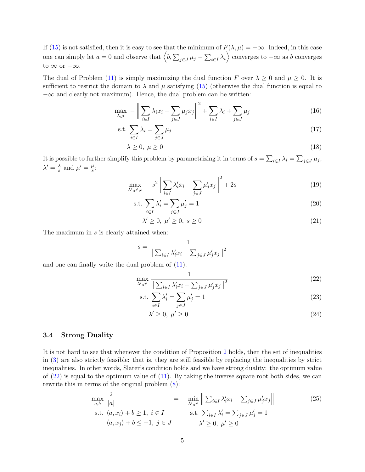If [\(15\)](#page-3-1) is not satisfied, then it is easy to see that the minimum of  $F(\lambda, \mu) = -\infty$ . Indeed, in this case one can simply let  $a = 0$  and observe that  $\left\langle b, \sum_{j \in J} \mu_j - \sum_{i \in I} \lambda_i \right\rangle$  converges to  $-\infty$  as b converges to  $\infty$  or  $-\infty$ .

The dual of Problem [\(11\)](#page-3-0) is simply maximizing the dual function F over  $\lambda \geq 0$  and  $\mu \geq 0$ . It is sufficient to restrict the domain to  $\lambda$  and  $\mu$  satisfying [\(15\)](#page-3-1) (otherwise the dual function is equal to  $-\infty$  and clearly not maximum). Hence, the dual problem can be written:

$$
\max_{\lambda,\mu} - \left\| \sum_{i \in I} \lambda_i x_i - \sum_{j \in J} \mu_j x_j \right\|^2 + \sum_{i \in I} \lambda_i + \sum_{j \in J} \mu_j \tag{16}
$$

$$
\text{s.t. } \sum_{i \in I} \lambda_i = \sum_{j \in J} \mu_j \tag{17}
$$

$$
\lambda \ge 0, \ \mu \ge 0 \tag{18}
$$

It is possible to further simplify this problem by parametrizing it in terms of  $s = \sum_{i \in I} \lambda_i = \sum_{j \in J} \mu_j$ ,  $\lambda' = \frac{\lambda}{s}$  $\frac{\lambda}{s}$  and  $\mu' = \frac{\mu}{s}$  $\frac{\mu}{s}$ :

$$
\max_{\lambda',\mu',s} -s^2 \bigg\| \sum_{i \in I} \lambda'_i x_i - \sum_{j \in J} \mu'_j x_j \bigg\|^2 + 2s \tag{19}
$$

$$
\text{s.t. } \sum_{i \in I} \lambda'_i = \sum_{j \in J} \mu'_j = 1 \tag{20}
$$

$$
\lambda' \ge 0, \ \mu' \ge 0, \ s \ge 0 \tag{21}
$$

The maximum in s is clearly attained when:

$$
s = \frac{1}{\left\| \sum_{i \in I} \lambda'_i x_i - \sum_{j \in J} \mu'_j x_j \right\|^2}
$$

and one can finally write the dual problem of [\(11\)](#page-3-0):

$$
\max_{\lambda',\mu'} \frac{1}{\left\| \sum_{i\in I} \lambda'_i x_i - \sum_{j\in J} \mu'_j x_j \right\|^2}
$$
\n(22)

$$
\text{s.t. } \sum_{i \in I} \lambda'_i = \sum_{j \in J} \mu'_j = 1 \tag{23}
$$

<span id="page-4-0"></span>
$$
\lambda' \ge 0, \ \mu' \ge 0 \tag{24}
$$

#### 3.4 Strong Duality

It is not hard to see that whenever the condition of Proposition [2](#page-2-0) holds, then the set of inequalities in [\(3\)](#page-1-0) are also strictly feasible: that is, they are still feasible by replacing the inequalities by strict inequalities. In other words, Slater's condition holds and we have strong duality: the optimum value of  $(22)$  is equal to the optimum value of  $(11)$ . By taking the inverse square root both sides, we can rewrite this in terms of the original problem [\(8\)](#page-3-3):

<span id="page-4-1"></span>
$$
\max_{a,b} \frac{2}{\|a\|} = \min_{\lambda',\mu'} \left\| \sum_{i \in I} \lambda'_i x_i - \sum_{j \in J} \mu'_j x_j \right\|
$$
\n
$$
\text{s.t. } \langle a, x_i \rangle + b \ge 1, \ i \in I \qquad \qquad \text{s.t. } \sum_{i \in I} \lambda'_i = \sum_{j \in J} \mu'_j = 1
$$
\n
$$
\langle a, x_j \rangle + b \le -1, \ j \in J \qquad \qquad \lambda' \ge 0, \ \mu' \ge 0
$$
\n
$$
(25)
$$